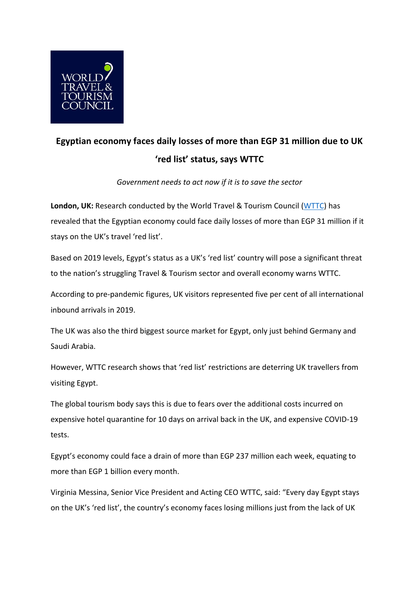

## **Egyptian economy faces daily losses of more than EGP 31 million due to UK 'red list' status, says WTTC**

*Government needs to act now if it is to save the sector*

**London, UK:** Research conducted by the World Travel & Tourism Council [\(WTTC\)](http://www.wttc.org/) has revealed that the Egyptian economy could face daily losses of more than EGP 31 million if it stays on the UK's travel 'red list'.

Based on 2019 levels, Egypt's status as a UK's 'red list' country will pose a significant threat to the nation's struggling Travel & Tourism sector and overall economy warns WTTC.

According to pre-pandemic figures, UK visitors represented five per cent of all international inbound arrivals in 2019.

The UK was also the third biggest source market for Egypt, only just behind Germany and Saudi Arabia.

However, WTTC research shows that 'red list' restrictions are deterring UK travellers from visiting Egypt.

The global tourism body says this is due to fears over the additional costs incurred on expensive hotel quarantine for 10 days on arrival back in the UK, and expensive COVID-19 tests.

Egypt's economy could face a drain of more than EGP 237 million each week, equating to more than EGP 1 billion every month.

Virginia Messina, Senior Vice President and Acting CEO WTTC, said: "Every day Egypt stays on the UK's 'red list', the country's economy faces losing millions just from the lack of UK